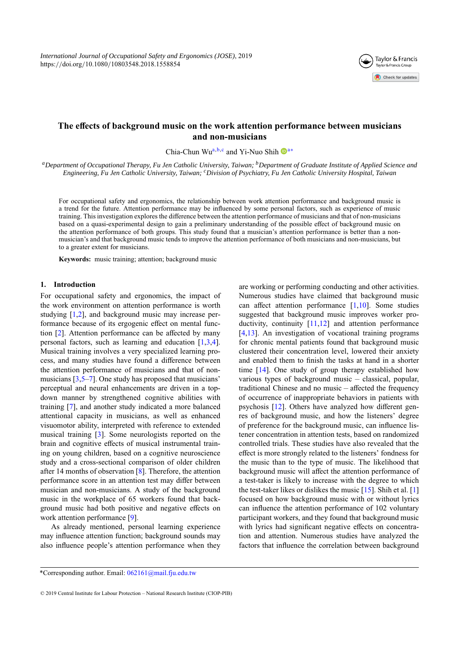

# **The effects of background music on the work attention performance between musicians and non-musicians**

<span id="page-0-2"></span><span id="page-0-1"></span>Chia-Chun Wu<sup>a,[b,](#page-0-1)[c](#page-0-2)</sup> [a](#page-0-0)nd Yi-Nuo Shih  $\mathbf{D}^{a*}$ 

<span id="page-0-0"></span>*aDepartment of Occupational Therapy, Fu Jen Catholic University, Taiwan; bDepartment of Graduate Institute of Applied Science and Engineering, Fu Jen Catholic University, Taiwan; cDivision of Psychiatry, Fu Jen Catholic University Hospital, Taiwan*

For occupational safety and ergonomics, the relationship between work attention performance and background music is a trend for the future. Attention performance may be influenced by some personal factors, such as experience of music training. This investigation explores the difference between the attention performance of musicians and that of non-musicians based on a quasi-experimental design to gain a preliminary understanding of the possible effect of background music on the attention performance of both groups. This study found that a musician's attention performance is better than a nonmusician's and that background music tends to improve the attention performance of both musicians and non-musicians, but to a greater extent for musicians.

**Keywords:** music training; attention; background music

## **1. Introduction**

For occupational safety and ergonomics, the impact of the work environment on attention performance is worth studying [\[1,](#page-3-0)[2\]](#page-4-0), and background music may increase performance because of its ergogenic effect on mental function [\[2\]](#page-4-0). Attention performance can be affected by many personal factors, such as learning and education [\[1,](#page-3-0)[3,](#page-4-1)[4\]](#page-4-2). Musical training involves a very specialized learning process, and many studies have found a difference between the attention performance of musicians and that of non-musicians [\[3,](#page-4-1)[5](#page-4-3)[–7\]](#page-4-4). One study has proposed that musicians' perceptual and neural enhancements are driven in a topdown manner by strengthened cognitive abilities with training [\[7\]](#page-4-4), and another study indicated a more balanced attentional capacity in musicians, as well as enhanced visuomotor ability, interpreted with reference to extended musical training [\[3\]](#page-4-1). Some neurologists reported on the brain and cognitive effects of musical instrumental training on young children, based on a cognitive neuroscience study and a cross-sectional comparison of older children after 14 months of observation [\[8\]](#page-4-5). Therefore, the attention performance score in an attention test may differ between musician and non-musicians. A study of the background music in the workplace of 65 workers found that background music had both positive and negative effects on work attention performance [\[9\]](#page-4-6).

As already mentioned, personal learning experience may influence attention function; background sounds may also influence people's attention performance when they

are working or performing conducting and other activities. Numerous studies have claimed that background music can affect attention performance  $[1,10]$  $[1,10]$ . Some studies suggested that background music improves worker productivity, continuity [\[11,](#page-4-8)[12\]](#page-4-9) and attention performance [\[4,](#page-4-2)[13\]](#page-4-10). An investigation of vocational training programs for chronic mental patients found that background music clustered their concentration level, lowered their anxiety and enabled them to finish the tasks at hand in a shorter time [\[14\]](#page-4-11). One study of group therapy established how various types of background music – classical, popular, traditional Chinese and no music – affected the frequency of occurrence of inappropriate behaviors in patients with psychosis [\[12\]](#page-4-9). Others have analyzed how different genres of background music, and how the listeners' degree of preference for the background music, can influence listener concentration in attention tests, based on randomized controlled trials. These studies have also revealed that the effect is more strongly related to the listeners' fondness for the music than to the type of music. The likelihood that background music will affect the attention performance of a test-taker is likely to increase with the degree to which the test-taker likes or dislikes the music  $[15]$ . Shih et al.  $[1]$ focused on how background music with or without lyrics can influence the attention performance of 102 voluntary participant workers, and they found that background music with lyrics had significant negative effects on concentration and attention. Numerous studies have analyzed the factors that influence the correlation between background

<span id="page-0-3"></span><sup>\*</sup>Corresponding author. Email: [062161@mail.fju.edu.tw](mailto:062161@mail.fju.edu.tw)

<sup>© 2019</sup> Central Institute for Labour Protection – National Research Institute (CIOP-PIB)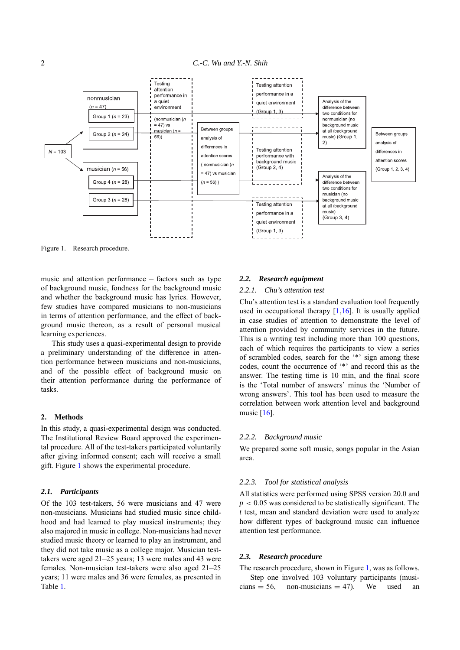

<span id="page-1-0"></span>Figure 1. Research procedure.

music and attention performance – factors such as type of background music, fondness for the background music and whether the background music has lyrics. However, few studies have compared musicians to non-musicians in terms of attention performance, and the effect of background music thereon, as a result of personal musical learning experiences.

This study uses a quasi-experimental design to provide a preliminary understanding of the difference in attention performance between musicians and non-musicians, and of the possible effect of background music on their attention performance during the performance of tasks.

### **2. Methods**

In this study, a quasi-experimental design was conducted. The Institutional Review Board approved the experimental procedure. All of the test-takers participated voluntarily after giving informed consent; each will receive a small gift. Figure [1](#page-1-0) shows the experimental procedure.

### *2.1. Participants*

Of the 103 test-takers, 56 were musicians and 47 were non-musicians. Musicians had studied music since childhood and had learned to play musical instruments; they also majored in music in college. Non-musicians had never studied music theory or learned to play an instrument, and they did not take music as a college major. Musician testtakers were aged 21–25 years; 13 were males and 43 were females. Non-musician test-takers were also aged 21–25 years; 11 were males and 36 were females, as presented in Table [1.](#page-2-0)

# *2.2. Research equipment*

### *2.2.1. Chu's attention test*

Chu's attention test is a standard evaluation tool frequently used in occupational therapy  $[1,16]$  $[1,16]$ . It is usually applied in case studies of attention to demonstrate the level of attention provided by community services in the future. This is a writing test including more than 100 questions, each of which requires the participants to view a series of scrambled codes, search for the '\*' sign among these codes, count the occurrence of '\*' and record this as the answer. The testing time is 10 min, and the final score is the 'Total number of answers' minus the 'Number of wrong answers'. This tool has been used to measure the correlation between work attention level and background music [\[16\]](#page-4-13).

#### *2.2.2. Background music*

We prepared some soft music, songs popular in the Asian area.

### *2.2.3. Tool for statistical analysis*

All statistics were performed using SPSS version 20.0 and *p <* 0.05 was considered to be statistically significant. The *t* test, mean and standard deviation were used to analyze how different types of background music can influence attention test performance.

### *2.3. Research procedure*

The research procedure, shown in Figure [1,](#page-1-0) was as follows. Step one involved 103 voluntary participants (musi-

 $cians = 56$ , non-musicians = 47). We used an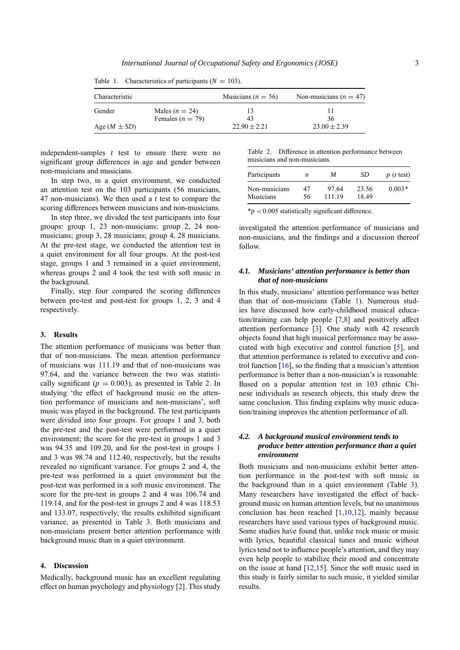<span id="page-2-0"></span>

| Characteristic   |                      | Musicians ( $n = 56$ ) | Non-musicians ( $n = 47$ ) |
|------------------|----------------------|------------------------|----------------------------|
| Gender           | Males $(n = 24)$     | 13                     |                            |
|                  | Females ( $n = 79$ ) | 43                     | 36                         |
| Age $(M \pm SD)$ |                      | $22.90 \pm 2.21$       | $23.00 \pm 2.39$           |

Table 1. Characteristics of participants  $(N = 103)$ .

independent-samples *t* test to ensure there were no significant group differences in age and gender between non-musicians and musicians.

In step two, in a quiet environment, we conducted an attention test on the 103 participants (56 musicians, 47 non-musicians). We then used a *t* test to compare the scoring differences between musicians and non-musicians.

In step three, we divided the test participants into four groups: group 1, 23 non-musicians; group 2, 24 nonmusicians; group 3, 28 musicians; group 4, 28 musicians. At the pre-test stage, we conducted the attention test in a quiet environment for all four groups. At the post-test stage, groups 1 and 3 remained in a quiet environment, whereas groups 2 and 4 took the test with soft music in the background.

Finally, step four compared the scoring differences between pre-test and post-test for groups 1, 2, 3 and 4 respectively.

### **3. Results**

The attention performance of musicians was better than that of non-musicians. The mean attention performance of musicians was 111.19 and that of non-musicians was 97.64, and the variance between the two was statistically significant ( $p = 0.003$ ), as presented in Table [2.](#page-2-1) In studying 'the effect of background music on the attention performance of musicians and non-musicians', soft music was played in the background. The test participants were divided into four groups. For groups 1 and 3, both the pre-test and the post-test were performed in a quiet environment; the score for the pre-test in groups 1 and 3 was 94.35 and 109.20, and for the post-test in groups 1 and 3 was 98.74 and 112.40, respectively, but the results revealed no significant variance. For groups 2 and 4, the pre-test was performed in a quiet environment but the post-test was performed in a soft music environment. The score for the pre-test in groups 2 and 4 was 106.74 and 119.14, and for the post-test in groups 2 and 4 was 118.53 and 133.07, respectively; the results exhibited significant variance, as presented in Table [3.](#page-3-1) Both musicians and non-musicians present better attention performance with background music than in a quiet environment.

### **4. Discussion**

Medically, background music has an excellent regulating effect on human psychology and physiology [\[2\]](#page-4-0). This study

<span id="page-2-1"></span>

| Table 2. Difference in attention performance between |
|------------------------------------------------------|
| musicians and non-musicians.                         |

| Participants  | n  | M      | SD    | $p(t$ test) |
|---------------|----|--------|-------|-------------|
| Non-musicians | 47 | 97.64  | 23.56 | $0.003*$    |
| Musicians     | 56 | 111.19 | 18.49 |             |

\**p <* 0.005 statistically significant difference.

investigated the attention performance of musicians and non-musicians, and the findings and a discussion thereof follow.

## *4.1. Musicians' attention performance is better than that of non-musicians*

In this study, musicians' attention performance was better than that of non-musicians (Table [1\)](#page-2-0). Numerous studies have discussed how early-childhood musical education/training can help people [\[7,](#page-4-4)[8\]](#page-4-5) and positively affect attention performance [\[3\]](#page-4-1). One study with 42 research objects found that high musical performance may be associated with high executive and control function [\[5\]](#page-4-3), and that attention performance is related to executive and control function  $[16]$ , so the finding that a musician's attention performance is better than a non-musician's is reasonable. Based on a popular attention test in 103 ethnic Chinese individuals as research objects, this study drew the same conclusion. This finding explains why music education/training improves the attention performance of all.

## *4.2. A background musical environment tends to produce better attention performance than a quiet environment*

Both musicians and non-musicians exhibit better attention performance in the post-test with soft music in the background than in a quiet environment (Table [3\)](#page-3-1). Many researchers have investigated the effect of background music on human attention levels, but no unanimous conclusion has been reached  $[1,10,12]$  $[1,10,12]$  $[1,10,12]$ , mainly because researchers have used various types of background music. Some studies have found that, unlike rock music or music with lyrics, beautiful classical tunes and music without lyrics tend not to influence people's attention, and they may even help people to stabilize their mood and concentrate on the issue at hand  $[12,15]$  $[12,15]$ . Since the soft music used in this study is fairly similar to such music, it yielded similar results.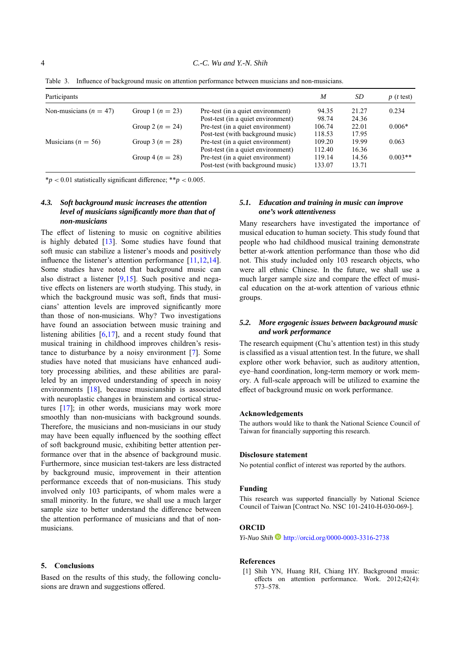<span id="page-3-1"></span>Table 3. Influence of background music on attention performance between musicians and non-musicians.

| Participants             |                      |                                    | M      | SD    | $p(t$ test) |
|--------------------------|----------------------|------------------------------------|--------|-------|-------------|
| Non-musicians $(n = 47)$ | Group 1 ( $n = 23$ ) | Pre-test (in a quiet environment)  | 94.35  | 21.27 | 0.234       |
|                          |                      | Post-test (in a quiet environment) | 98.74  | 24.36 |             |
|                          | Group 2 ( $n = 24$ ) | Pre-test (in a quiet environment)  | 106.74 | 22.01 | $0.006*$    |
|                          |                      | Post-test (with background music)  | 118.53 | 17.95 |             |
| Musicians ( $n = 56$ )   | Group 3 ( $n = 28$ ) | Pre-test (in a quiet environment)  | 109.20 | 19.99 | 0.063       |
|                          |                      | Post-test (in a quiet environment) | 112.40 | 16.36 |             |
|                          | Group 4 ( $n = 28$ ) | Pre-test (in a quiet environment)  | 119.14 | 14.56 | $0.003**$   |
|                          |                      | Post-test (with background music)  | 133.07 | 13.71 |             |

\**p <* 0.01 statistically significant difference; \*\**p <* 0.005.

## *4.3. Soft background music increases the attention level of musicians significantly more than that of non-musicians*

The effect of listening to music on cognitive abilities is highly debated [\[13\]](#page-4-10). Some studies have found that soft music can stabilize a listener's moods and positively influence the listener's attention performance [\[11](#page-4-8)[,12](#page-4-9)[,14\]](#page-4-11). Some studies have noted that background music can also distract a listener  $[9,15]$  $[9,15]$ . Such positive and negative effects on listeners are worth studying. This study, in which the background music was soft, finds that musicians' attention levels are improved significantly more than those of non-musicians. Why? Two investigations have found an association between music training and listening abilities [\[6,](#page-4-14)[17\]](#page-4-15), and a recent study found that musical training in childhood improves children's resistance to disturbance by a noisy environment [\[7\]](#page-4-4). Some studies have noted that musicians have enhanced auditory processing abilities, and these abilities are paralleled by an improved understanding of speech in noisy environments [\[18\]](#page-4-16), because musicianship is associated with neuroplastic changes in brainstem and cortical structures [\[17\]](#page-4-15); in other words, musicians may work more smoothly than non-musicians with background sounds. Therefore, the musicians and non-musicians in our study may have been equally influenced by the soothing effect of soft background music, exhibiting better attention performance over that in the absence of background music. Furthermore, since musician test-takers are less distracted by background music, improvement in their attention performance exceeds that of non-musicians. This study involved only 103 participants, of whom males were a small minority. In the future, we shall use a much larger sample size to better understand the difference between the attention performance of musicians and that of nonmusicians.

### **5. Conclusions**

Based on the results of this study, the following conclusions are drawn and suggestions offered.

## *5.1. Education and training in music can improve one's work attentiveness*

Many researchers have investigated the importance of musical education to human society. This study found that people who had childhood musical training demonstrate better at-work attention performance than those who did not. This study included only 103 research objects, who were all ethnic Chinese. In the future, we shall use a much larger sample size and compare the effect of musical education on the at-work attention of various ethnic groups.

## *5.2. More ergogenic issues between background music and work performance*

The research equipment (Chu's attention test) in this study is classified as a visual attention test. In the future, we shall explore other work behavior, such as auditory attention, eye–hand coordination, long-term memory or work memory. A full-scale approach will be utilized to examine the effect of background music on work performance.

### **Acknowledgements**

The authors would like to thank the National Science Council of Taiwan for financially supporting this research.

#### **Disclosure statement**

No potential conflict of interest was reported by the authors.

#### **Funding**

This research was supported financially by National Science Council of Taiwan [Contract No. NSC 101-2410-H-030-069-].

### **ORCID**

*Yi-Nuo Shih* <http://orcid.org/0000-0003-3316-2738>

#### **References**

<span id="page-3-0"></span>[1] Shih YN, Huang RH, Chiang HY. Background music: effects on attention performance. Work. 2012;42(4): 573–578.